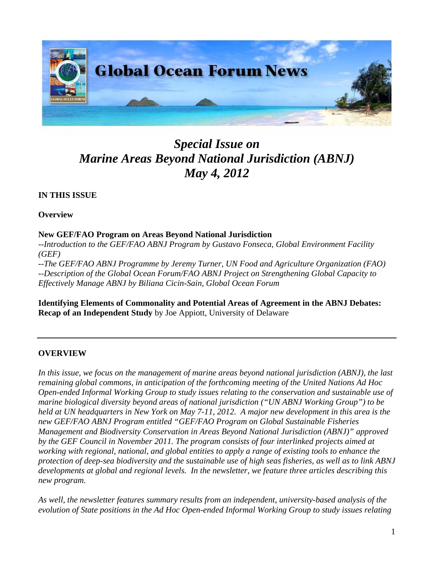

# *Special Issue on Marine Areas Beyond National Jurisdiction (ABNJ) May 4, 2012*

## **IN THIS ISSUE**

#### **Overview**

#### **New GEF/FAO Program on Areas Beyond National Jurisdiction**

*--Introduction to the GEF/FAO ABNJ Program by Gustavo Fonseca, Global Environment Facility (GEF)* 

*--The GEF/FAO ABNJ Programme by Jeremy Turner, UN Food and Agriculture Organization (FAO) --Description of the Global Ocean Forum/FAO ABNJ Project on Strengthening Global Capacity to Effectively Manage ABNJ by Biliana Cicin-Sain, Global Ocean Forum* 

**Identifying Elements of Commonality and Potential Areas of Agreement in the ABNJ Debates: Recap of an Independent Study** by Joe Appiott, University of Delaware

## **OVERVIEW**

*In this issue, we focus on the management of marine areas beyond national jurisdiction (ABNJ), the last remaining global commons, in anticipation of the forthcoming meeting of the United Nations Ad Hoc Open-ended Informal Working Group to study issues relating to the conservation and sustainable use of marine biological diversity beyond areas of national jurisdiction ("UN ABNJ Working Group") to be held at UN headquarters in New York on May 7-11, 2012. A major new development in this area is the new GEF/FAO ABNJ Program entitled "GEF/FAO Program on Global Sustainable Fisheries Management and Biodiversity Conservation in Areas Beyond National Jurisdiction (ABNJ)" approved by the GEF Council in November 2011. The program consists of four interlinked projects aimed at working with regional, national, and global entities to apply a range of existing tools to enhance the protection of deep-sea biodiversity and the sustainable use of high seas fisheries, as well as to link ABNJ developments at global and regional levels. In the newsletter, we feature three articles describing this new program.* 

*As well, the newsletter features summary results from an independent, university-based analysis of the evolution of State positions in the Ad Hoc Open-ended Informal Working Group to study issues relating*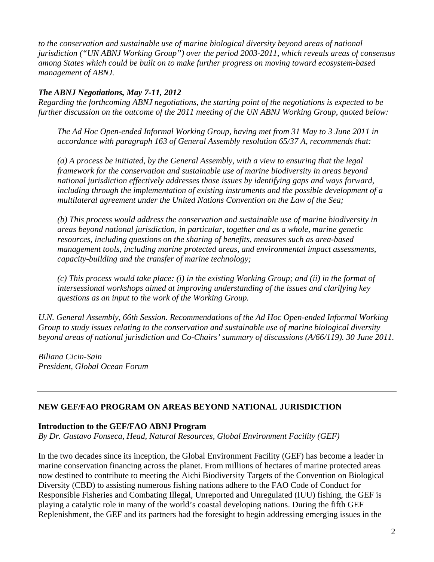*to the conservation and sustainable use of marine biological diversity beyond areas of national jurisdiction ("UN ABNJ Working Group") over the period 2003-2011, which reveals areas of consensus among States which could be built on to make further progress on moving toward ecosystem-based management of ABNJ.* 

#### *The ABNJ Negotiations, May 7-11, 2012*

*Regarding the forthcoming ABNJ negotiations, the starting point of the negotiations is expected to be further discussion on the outcome of the 2011 meeting of the UN ABNJ Working Group, quoted below:* 

*The Ad Hoc Open-ended Informal Working Group, having met from 31 May to 3 June 2011 in accordance with paragraph 163 of General Assembly resolution 65/37 A, recommends that:* 

*(a) A process be initiated, by the General Assembly, with a view to ensuring that the legal framework for the conservation and sustainable use of marine biodiversity in areas beyond national jurisdiction effectively addresses those issues by identifying gaps and ways forward, including through the implementation of existing instruments and the possible development of a multilateral agreement under the United Nations Convention on the Law of the Sea;* 

*(b) This process would address the conservation and sustainable use of marine biodiversity in areas beyond national jurisdiction, in particular, together and as a whole, marine genetic resources, including questions on the sharing of benefits, measures such as area-based management tools, including marine protected areas, and environmental impact assessments, capacity-building and the transfer of marine technology;* 

*(c) This process would take place: (i) in the existing Working Group; and (ii) in the format of intersessional workshops aimed at improving understanding of the issues and clarifying key questions as an input to the work of the Working Group.* 

*U.N. General Assembly, 66th Session. Recommendations of the Ad Hoc Open-ended Informal Working Group to study issues relating to the conservation and sustainable use of marine biological diversity beyond areas of national jurisdiction and Co-Chairs' summary of discussions (A/66/119). 30 June 2011.* 

*Biliana Cicin-Sain President, Global Ocean Forum* 

## **NEW GEF/FAO PROGRAM ON AREAS BEYOND NATIONAL JURISDICTION**

#### **Introduction to the GEF/FAO ABNJ Program**

*By Dr. Gustavo Fonseca, Head, Natural Resources, Global Environment Facility (GEF)* 

In the two decades since its inception, the Global Environment Facility (GEF) has become a leader in marine conservation financing across the planet. From millions of hectares of marine protected areas now destined to contribute to meeting the Aichi Biodiversity Targets of the Convention on Biological Diversity (CBD) to assisting numerous fishing nations adhere to the FAO Code of Conduct for Responsible Fisheries and Combating Illegal, Unreported and Unregulated (IUU) fishing, the GEF is playing a catalytic role in many of the world's coastal developing nations. During the fifth GEF Replenishment, the GEF and its partners had the foresight to begin addressing emerging issues in the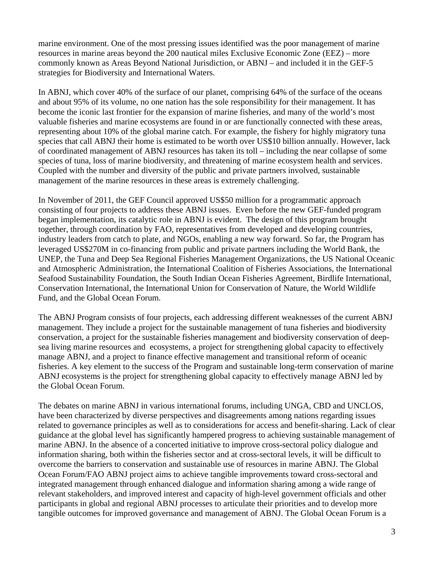marine environment. One of the most pressing issues identified was the poor management of marine resources in marine areas beyond the 200 nautical miles Exclusive Economic Zone (EEZ) – more commonly known as Areas Beyond National Jurisdiction, or ABNJ – and included it in the GEF-5 strategies for Biodiversity and International Waters.

In ABNJ, which cover 40% of the surface of our planet, comprising 64% of the surface of the oceans and about 95% of its volume, no one nation has the sole responsibility for their management. It has become the iconic last frontier for the expansion of marine fisheries, and many of the world's most valuable fisheries and marine ecosystems are found in or are functionally connected with these areas, representing about 10% of the global marine catch. For example, the fishery for highly migratory tuna species that call ABNJ their home is estimated to be worth over US\$10 billion annually. However, lack of coordinated management of ABNJ resources has taken its toll – including the near collapse of some species of tuna, loss of marine biodiversity, and threatening of marine ecosystem health and services. Coupled with the number and diversity of the public and private partners involved, sustainable management of the marine resources in these areas is extremely challenging.

In November of 2011, the GEF Council approved US\$50 million for a programmatic approach consisting of four projects to address these ABNJ issues. Even before the new GEF-funded program began implementation, its catalytic role in ABNJ is evident. The design of this program brought together, through coordination by FAO, representatives from developed and developing countries, industry leaders from catch to plate, and NGOs, enabling a new way forward. So far, the Program has leveraged US\$270M in co-financing from public and private partners including the World Bank, the UNEP, the Tuna and Deep Sea Regional Fisheries Management Organizations, the US National Oceanic and Atmospheric Administration, the International Coalition of Fisheries Associations, the International Seafood Sustainability Foundation, the South Indian Ocean Fisheries Agreement, Birdlife International, Conservation International, the International Union for Conservation of Nature, the World Wildlife Fund, and the Global Ocean Forum.

The ABNJ Program consists of four projects, each addressing different weaknesses of the current ABNJ management. They include a project for the sustainable management of tuna fisheries and biodiversity conservation, a project for the sustainable fisheries management and biodiversity conservation of deepsea living marine resources and ecosystems, a project for strengthening global capacity to effectively manage ABNJ, and a project to finance effective management and transitional reform of oceanic fisheries. A key element to the success of the Program and sustainable long-term conservation of marine ABNJ ecosystems is the project for strengthening global capacity to effectively manage ABNJ led by the Global Ocean Forum.

The debates on marine ABNJ in various international forums, including UNGA, CBD and UNCLOS, have been characterized by diverse perspectives and disagreements among nations regarding issues related to governance principles as well as to considerations for access and benefit-sharing. Lack of clear guidance at the global level has significantly hampered progress to achieving sustainable management of marine ABNJ. In the absence of a concerted initiative to improve cross-sectoral policy dialogue and information sharing, both within the fisheries sector and at cross-sectoral levels, it will be difficult to overcome the barriers to conservation and sustainable use of resources in marine ABNJ. The Global Ocean Forum/FAO ABNJ project aims to achieve tangible improvements toward cross-sectoral and integrated management through enhanced dialogue and information sharing among a wide range of relevant stakeholders, and improved interest and capacity of high-level government officials and other participants in global and regional ABNJ processes to articulate their priorities and to develop more tangible outcomes for improved governance and management of ABNJ. The Global Ocean Forum is a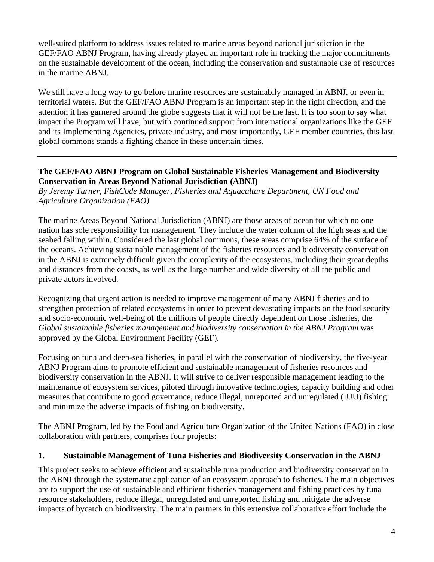well-suited platform to address issues related to marine areas beyond national jurisdiction in the GEF/FAO ABNJ Program, having already played an important role in tracking the major commitments on the sustainable development of the ocean, including the conservation and sustainable use of resources in the marine ABNJ.

We still have a long way to go before marine resources are sustainablly managed in ABNJ, or even in territorial waters. But the GEF/FAO ABNJ Program is an important step in the right direction, and the attention it has garnered around the globe suggests that it will not be the last. It is too soon to say what impact the Program will have, but with continued support from international organizations like the GEF and its Implementing Agencies, private industry, and most importantly, GEF member countries, this last global commons stands a fighting chance in these uncertain times.

### **The GEF/FAO ABNJ Program on Global Sustainable Fisheries Management and Biodiversity Conservation in Areas Beyond National Jurisdiction (ABNJ)**

*By Jeremy Turner, FishCode Manager, Fisheries and Aquaculture Department, UN Food and Agriculture Organization (FAO)* 

The marine Areas Beyond National Jurisdiction (ABNJ) are those areas of ocean for which no one nation has sole responsibility for management. They include the water column of the high seas and the seabed falling within. Considered the last global commons, these areas comprise 64% of the surface of the oceans. Achieving sustainable management of the fisheries resources and biodiversity conservation in the ABNJ is extremely difficult given the complexity of the ecosystems, including their great depths and distances from the coasts, as well as the large number and wide diversity of all the public and private actors involved.

Recognizing that urgent action is needed to improve management of many ABNJ fisheries and to strengthen protection of related ecosystems in order to prevent devastating impacts on the food security and socio-economic well-being of the millions of people directly dependent on those fisheries, the *Global sustainable fisheries management and biodiversity conservation in the ABNJ Program* was approved by the Global Environment Facility (GEF).

Focusing on tuna and deep-sea fisheries, in parallel with the conservation of biodiversity, the five-year ABNJ Program aims to promote efficient and sustainable management of fisheries resources and biodiversity conservation in the ABNJ. It will strive to deliver responsible management leading to the maintenance of ecosystem services, piloted through innovative technologies, capacity building and other measures that contribute to good governance, reduce illegal, unreported and unregulated (IUU) fishing and minimize the adverse impacts of fishing on biodiversity.

The ABNJ Program, led by the Food and Agriculture Organization of the United Nations (FAO) in close collaboration with partners, comprises four projects:

#### **1. Sustainable Management of Tuna Fisheries and Biodiversity Conservation in the ABNJ**

This project seeks to achieve efficient and sustainable tuna production and biodiversity conservation in the ABNJ through the systematic application of an ecosystem approach to fisheries. The main objectives are to support the use of sustainable and efficient fisheries management and fishing practices by tuna resource stakeholders, reduce illegal, unregulated and unreported fishing and mitigate the adverse impacts of bycatch on biodiversity. The main partners in this extensive collaborative effort include the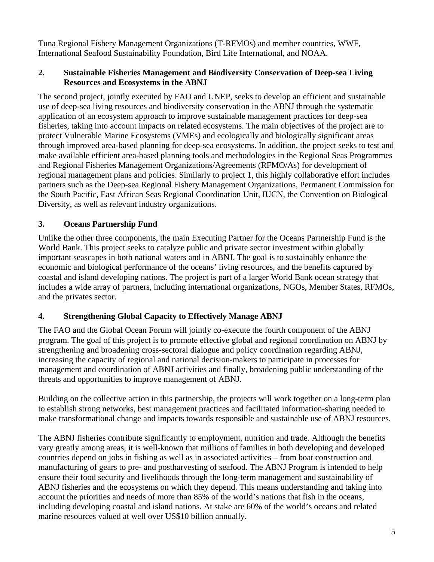Tuna Regional Fishery Management Organizations (T-RFMOs) and member countries, WWF, International Seafood Sustainability Foundation, Bird Life International, and NOAA.

### **2. Sustainable Fisheries Management and Biodiversity Conservation of Deep-sea Living Resources and Ecosystems in the ABNJ**

The second project, jointly executed by FAO and UNEP, seeks to develop an efficient and sustainable use of deep-sea living resources and biodiversity conservation in the ABNJ through the systematic application of an ecosystem approach to improve sustainable management practices for deep-sea fisheries, taking into account impacts on related ecosystems. The main objectives of the project are to protect Vulnerable Marine Ecosystems (VMEs) and ecologically and biologically significant areas through improved area-based planning for deep-sea ecosystems. In addition, the project seeks to test and make available efficient area-based planning tools and methodologies in the Regional Seas Programmes and Regional Fisheries Management Organizations/Agreements (RFMO/As) for development of regional management plans and policies. Similarly to project 1, this highly collaborative effort includes partners such as the Deep-sea Regional Fishery Management Organizations, Permanent Commission for the South Pacific, East African Seas Regional Coordination Unit, IUCN, the Convention on Biological Diversity, as well as relevant industry organizations.

## **3. Oceans Partnership Fund**

Unlike the other three components, the main Executing Partner for the Oceans Partnership Fund is the World Bank. This project seeks to catalyze public and private sector investment within globally important seascapes in both national waters and in ABNJ. The goal is to sustainably enhance the economic and biological performance of the oceans' living resources, and the benefits captured by coastal and island developing nations. The project is part of a larger World Bank ocean strategy that includes a wide array of partners, including international organizations, NGOs, Member States, RFMOs, and the privates sector.

## **4. Strengthening Global Capacity to Effectively Manage ABNJ**

The FAO and the Global Ocean Forum will jointly co-execute the fourth component of the ABNJ program. The goal of this project is to promote effective global and regional coordination on ABNJ by strengthening and broadening cross-sectoral dialogue and policy coordination regarding ABNJ, increasing the capacity of regional and national decision-makers to participate in processes for management and coordination of ABNJ activities and finally, broadening public understanding of the threats and opportunities to improve management of ABNJ.

Building on the collective action in this partnership, the projects will work together on a long-term plan to establish strong networks, best management practices and facilitated information-sharing needed to make transformational change and impacts towards responsible and sustainable use of ABNJ resources.

The ABNJ fisheries contribute significantly to employment, nutrition and trade. Although the benefits vary greatly among areas, it is well-known that millions of families in both developing and developed countries depend on jobs in fishing as well as in associated activities – from boat construction and manufacturing of gears to pre- and postharvesting of seafood. The ABNJ Program is intended to help ensure their food security and livelihoods through the long-term management and sustainability of ABNJ fisheries and the ecosystems on which they depend. This means understanding and taking into account the priorities and needs of more than 85% of the world's nations that fish in the oceans, including developing coastal and island nations. At stake are 60% of the world's oceans and related marine resources valued at well over US\$10 billion annually.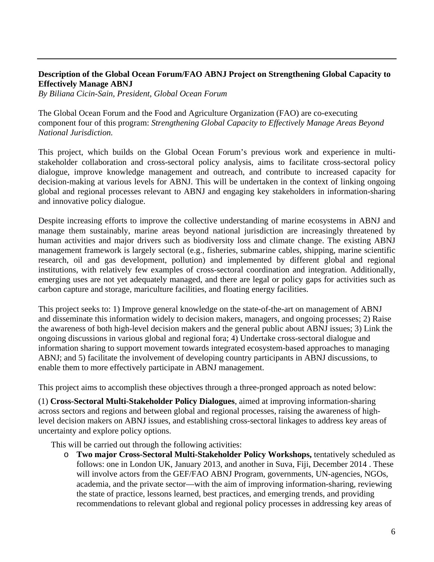### **Description of the Global Ocean Forum/FAO ABNJ Project on Strengthening Global Capacity to Effectively Manage ABNJ**

*By Biliana Cicin-Sain, President, Global Ocean Forum* 

The Global Ocean Forum and the Food and Agriculture Organization (FAO) are co-executing component four of this program: *Strengthening Global Capacity to Effectively Manage Areas Beyond National Jurisdiction.*

This project, which builds on the Global Ocean Forum's previous work and experience in multistakeholder collaboration and cross-sectoral policy analysis, aims to facilitate cross-sectoral policy dialogue, improve knowledge management and outreach, and contribute to increased capacity for decision-making at various levels for ABNJ. This will be undertaken in the context of linking ongoing global and regional processes relevant to ABNJ and engaging key stakeholders in information-sharing and innovative policy dialogue.

Despite increasing efforts to improve the collective understanding of marine ecosystems in ABNJ and manage them sustainably, marine areas beyond national jurisdiction are increasingly threatened by human activities and major drivers such as biodiversity loss and climate change. The existing ABNJ management framework is largely sectoral (e.g., fisheries, submarine cables, shipping, marine scientific research, oil and gas development, pollution) and implemented by different global and regional institutions, with relatively few examples of cross-sectoral coordination and integration. Additionally, emerging uses are not yet adequately managed, and there are legal or policy gaps for activities such as carbon capture and storage, mariculture facilities, and floating energy facilities.

This project seeks to: 1) Improve general knowledge on the state-of-the-art on management of ABNJ and disseminate this information widely to decision makers, managers, and ongoing processes; 2) Raise the awareness of both high-level decision makers and the general public about ABNJ issues; 3) Link the ongoing discussions in various global and regional fora; 4) Undertake cross-sectoral dialogue and information sharing to support movement towards integrated ecosystem-based approaches to managing ABNJ; and 5) facilitate the involvement of developing country participants in ABNJ discussions, to enable them to more effectively participate in ABNJ management.

This project aims to accomplish these objectives through a three-pronged approach as noted below:

(1) **Cross-Sectoral Multi-Stakeholder Policy Dialogues**, aimed at improving information-sharing across sectors and regions and between global and regional processes, raising the awareness of highlevel decision makers on ABNJ issues, and establishing cross-sectoral linkages to address key areas of uncertainty and explore policy options.

This will be carried out through the following activities:

o **Two major Cross-Sectoral Multi-Stakeholder Policy Workshops,** tentatively scheduled as follows: one in London UK, January 2013, and another in Suva, Fiji, December 2014 . These will involve actors from the GEF/FAO ABNJ Program, governments, UN-agencies, NGOs, academia, and the private sector—with the aim of improving information-sharing, reviewing the state of practice, lessons learned, best practices, and emerging trends, and providing recommendations to relevant global and regional policy processes in addressing key areas of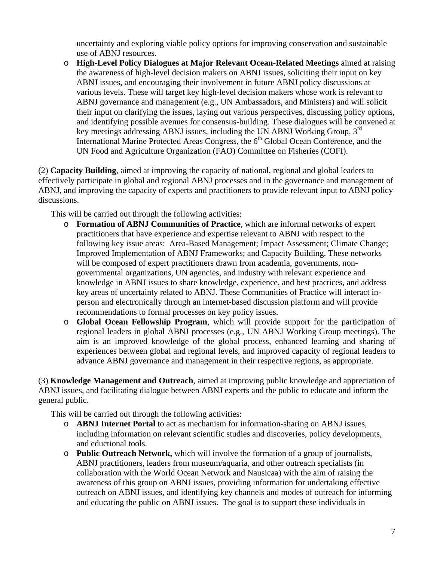uncertainty and exploring viable policy options for improving conservation and sustainable use of ABNJ resources.

o **High-Level Policy Dialogues at Major Relevant Ocean-Related Meetings** aimed at raising the awareness of high-level decision makers on ABNJ issues, soliciting their input on key ABNJ issues, and encouraging their involvement in future ABNJ policy discussions at various levels. These will target key high-level decision makers whose work is relevant to ABNJ governance and management (e.g., UN Ambassadors, and Ministers) and will solicit their input on clarifying the issues, laying out various perspectives, discussing policy options, and identifying possible avenues for consensus-building. These dialogues will be convened at key meetings addressing ABNJ issues, including the UN ABNJ Working Group, 3rd International Marine Protected Areas Congress, the 6<sup>th</sup> Global Ocean Conference, and the UN Food and Agriculture Organization (FAO) Committee on Fisheries (COFI).

(2) **Capacity Building**, aimed at improving the capacity of national, regional and global leaders to effectively participate in global and regional ABNJ processes and in the governance and management of ABNJ, and improving the capacity of experts and practitioners to provide relevant input to ABNJ policy discussions.

This will be carried out through the following activities:

- o **Formation of ABNJ Communities of Practice**, which are informal networks of expert practitioners that have experience and expertise relevant to ABNJ with respect to the following key issue areas: Area-Based Management; Impact Assessment; Climate Change; Improved Implementation of ABNJ Frameworks; and Capacity Building. These networks will be composed of expert practitioners drawn from academia, governments, nongovernmental organizations, UN agencies, and industry with relevant experience and knowledge in ABNJ issues to share knowledge, experience, and best practices, and address key areas of uncertainty related to ABNJ. These Communities of Practice will interact inperson and electronically through an internet-based discussion platform and will provide recommendations to formal processes on key policy issues.
- o **Global Ocean Fellowship Program**, which will provide support for the participation of regional leaders in global ABNJ processes (e.g., UN ABNJ Working Group meetings). The aim is an improved knowledge of the global process, enhanced learning and sharing of experiences between global and regional levels, and improved capacity of regional leaders to advance ABNJ governance and management in their respective regions, as appropriate.

(3) **Knowledge Management and Outreach**, aimed at improving public knowledge and appreciation of ABNJ issues, and facilitating dialogue between ABNJ experts and the public to educate and inform the general public.

This will be carried out through the following activities:

- o **ABNJ Internet Portal** to act as mechanism for information-sharing on ABNJ issues, including information on relevant scientific studies and discoveries, policy developments, and eductional tools.
- o **Public Outreach Network,** which will involve the formation of a group of journalists, ABNJ practitioners, leaders from museum/aquaria, and other outreach specialists (in collaboration with the World Ocean Network and Nausicaa) with the aim of raising the awareness of this group on ABNJ issues, providing information for undertaking effective outreach on ABNJ issues, and identifying key channels and modes of outreach for informing and educating the public on ABNJ issues. The goal is to support these individuals in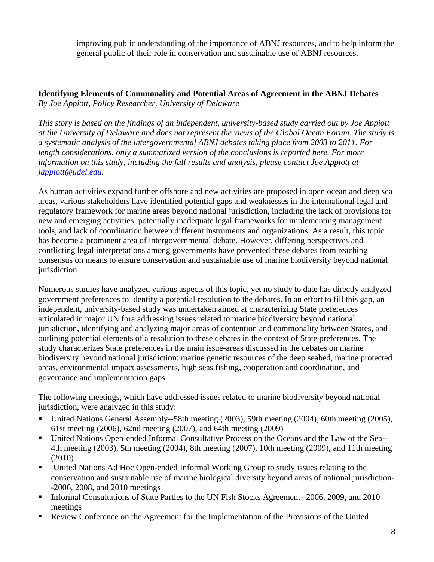improving public understanding of the importance of ABNJ resources, and to help inform the general public of their role in conservation and sustainable use of ABNJ resources.

**Identifying Elements of Commonality and Potential Areas of Agreement in the ABNJ Debates**  *By Joe Appiott, Policy Researcher, University of Delaware* 

*This story is based on the findings of an independent, university-based study carried out by Joe Appiott at the University of Delaware and does not represent the views of the Global Ocean Forum. The study is a systematic analysis of the intergovernmental ABNJ debates taking place from 2003 to 2011. For length considerations, only a summarized version of the conclusions is reported here. For more information on this study, including the full results and analysis, please contact Joe Appiott at jappiott@udel.edu.* 

As human activities expand further offshore and new activities are proposed in open ocean and deep sea areas, various stakeholders have identified potential gaps and weaknesses in the international legal and regulatory framework for marine areas beyond national jurisdiction, including the lack of provisions for new and emerging activities, potentially inadequate legal frameworks for implementing management tools, and lack of coordination between different instruments and organizations. As a result, this topic has become a prominent area of intergovernmental debate. However, differing perspectives and conflicting legal interpretations among governments have prevented these debates from reaching consensus on means to ensure conservation and sustainable use of marine biodiversity beyond national jurisdiction.

Numerous studies have analyzed various aspects of this topic, yet no study to date has directly analyzed government preferences to identify a potential resolution to the debates. In an effort to fill this gap, an independent, university-based study was undertaken aimed at characterizing State preferences articulated in major UN fora addressing issues related to marine biodiversity beyond national jurisdiction, identifying and analyzing major areas of contention and commonality between States, and outlining potential elements of a resolution to these debates in the context of State preferences. The study characterizes State preferences in the main issue-areas discussed in the debates on marine biodiversity beyond national jurisdiction: marine genetic resources of the deep seabed, marine protected areas, environmental impact assessments, high seas fishing, cooperation and coordination, and governance and implementation gaps.

The following meetings, which have addressed issues related to marine biodiversity beyond national jurisdiction, were analyzed in this study:

- United Nations General Assembly--58th meeting (2003), 59th meeting (2004), 60th meeting (2005), 61st meeting (2006), 62nd meeting (2007), and 64th meeting (2009)
- United Nations Open-ended Informal Consultative Process on the Oceans and the Law of the Sea-- 4th meeting (2003), 5th meeting (2004), 8th meeting (2007), 10th meeting (2009), and 11th meeting (2010)
- United Nations Ad Hoc Open-ended Informal Working Group to study issues relating to the conservation and sustainable use of marine biological diversity beyond areas of national jurisdiction- -2006, 2008, and 2010 meetings
- Informal Consultations of State Parties to the UN Fish Stocks Agreement--2006, 2009, and 2010 meetings
- Review Conference on the Agreement for the Implementation of the Provisions of the United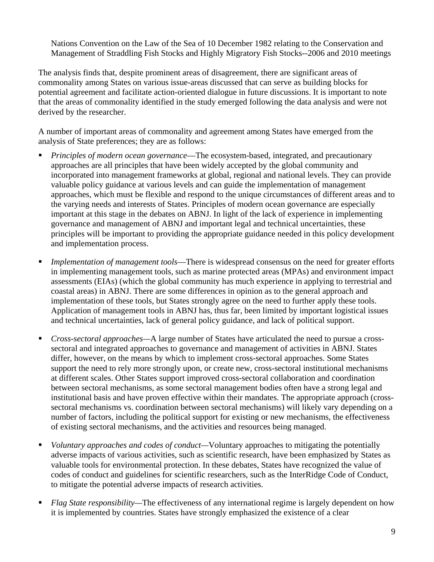Nations Convention on the Law of the Sea of 10 December 1982 relating to the Conservation and Management of Straddling Fish Stocks and Highly Migratory Fish Stocks--2006 and 2010 meetings

The analysis finds that, despite prominent areas of disagreement, there are significant areas of commonality among States on various issue-areas discussed that can serve as building blocks for potential agreement and facilitate action-oriented dialogue in future discussions. It is important to note that the areas of commonality identified in the study emerged following the data analysis and were not derived by the researcher.

A number of important areas of commonality and agreement among States have emerged from the analysis of State preferences; they are as follows:

- *Principles of modern ocean governance*—The ecosystem-based, integrated, and precautionary approaches are all principles that have been widely accepted by the global community and incorporated into management frameworks at global, regional and national levels. They can provide valuable policy guidance at various levels and can guide the implementation of management approaches, which must be flexible and respond to the unique circumstances of different areas and to the varying needs and interests of States. Principles of modern ocean governance are especially important at this stage in the debates on ABNJ. In light of the lack of experience in implementing governance and management of ABNJ and important legal and technical uncertainties, these principles will be important to providing the appropriate guidance needed in this policy development and implementation process.
- *Implementation of management tools*—There is widespread consensus on the need for greater efforts in implementing management tools, such as marine protected areas (MPAs) and environment impact assessments (EIAs) (which the global community has much experience in applying to terrestrial and coastal areas) in ABNJ. There are some differences in opinion as to the general approach and implementation of these tools, but States strongly agree on the need to further apply these tools. Application of management tools in ABNJ has, thus far, been limited by important logistical issues and technical uncertainties, lack of general policy guidance, and lack of political support.
- *Cross-sectoral approaches—*A large number of States have articulated the need to pursue a crosssectoral and integrated approaches to governance and management of activities in ABNJ. States differ, however, on the means by which to implement cross-sectoral approaches. Some States support the need to rely more strongly upon, or create new, cross-sectoral institutional mechanisms at different scales. Other States support improved cross-sectoral collaboration and coordination between sectoral mechanisms, as some sectoral management bodies often have a strong legal and institutional basis and have proven effective within their mandates. The appropriate approach (crosssectoral mechanisms vs. coordination between sectoral mechanisms) will likely vary depending on a number of factors, including the political support for existing or new mechanisms, the effectiveness of existing sectoral mechanisms, and the activities and resources being managed.
- *Voluntary approaches and codes of conduct—*Voluntary approaches to mitigating the potentially adverse impacts of various activities, such as scientific research, have been emphasized by States as valuable tools for environmental protection. In these debates, States have recognized the value of codes of conduct and guidelines for scientific researchers, such as the InterRidge Code of Conduct, to mitigate the potential adverse impacts of research activities.
- *Flag State responsibility—*The effectiveness of any international regime is largely dependent on how it is implemented by countries. States have strongly emphasized the existence of a clear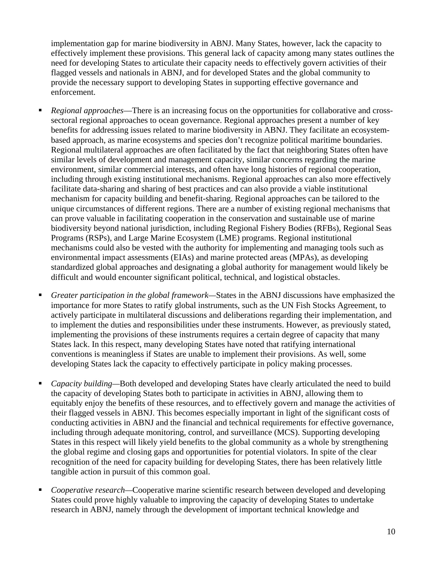implementation gap for marine biodiversity in ABNJ. Many States, however, lack the capacity to effectively implement these provisions. This general lack of capacity among many states outlines the need for developing States to articulate their capacity needs to effectively govern activities of their flagged vessels and nationals in ABNJ, and for developed States and the global community to provide the necessary support to developing States in supporting effective governance and enforcement.

- *Regional approaches*—There is an increasing focus on the opportunities for collaborative and crosssectoral regional approaches to ocean governance. Regional approaches present a number of key benefits for addressing issues related to marine biodiversity in ABNJ. They facilitate an ecosystembased approach, as marine ecosystems and species don't recognize political maritime boundaries. Regional multilateral approaches are often facilitated by the fact that neighboring States often have similar levels of development and management capacity, similar concerns regarding the marine environment, similar commercial interests, and often have long histories of regional cooperation, including through existing institutional mechanisms. Regional approaches can also more effectively facilitate data-sharing and sharing of best practices and can also provide a viable institutional mechanism for capacity building and benefit-sharing. Regional approaches can be tailored to the unique circumstances of different regions. There are a number of existing regional mechanisms that can prove valuable in facilitating cooperation in the conservation and sustainable use of marine biodiversity beyond national jurisdiction, including Regional Fishery Bodies (RFBs), Regional Seas Programs (RSPs), and Large Marine Ecosystem (LME) programs. Regional institutional mechanisms could also be vested with the authority for implementing and managing tools such as environmental impact assessments (EIAs) and marine protected areas (MPAs), as developing standardized global approaches and designating a global authority for management would likely be difficult and would encounter significant political, technical, and logistical obstacles.
- *Greater participation in the global framework—*States in the ABNJ discussions have emphasized the importance for more States to ratify global instruments, such as the UN Fish Stocks Agreement, to actively participate in multilateral discussions and deliberations regarding their implementation, and to implement the duties and responsibilities under these instruments. However, as previously stated, implementing the provisions of these instruments requires a certain degree of capacity that many States lack. In this respect, many developing States have noted that ratifying international conventions is meaningless if States are unable to implement their provisions. As well, some developing States lack the capacity to effectively participate in policy making processes.
- *Capacity building—*Both developed and developing States have clearly articulated the need to build the capacity of developing States both to participate in activities in ABNJ, allowing them to equitably enjoy the benefits of these resources, and to effectively govern and manage the activities of their flagged vessels in ABNJ. This becomes especially important in light of the significant costs of conducting activities in ABNJ and the financial and technical requirements for effective governance, including through adequate monitoring, control, and surveillance (MCS). Supporting developing States in this respect will likely yield benefits to the global community as a whole by strengthening the global regime and closing gaps and opportunities for potential violators. In spite of the clear recognition of the need for capacity building for developing States, there has been relatively little tangible action in pursuit of this common goal.
- *Cooperative research—*Cooperative marine scientific research between developed and developing States could prove highly valuable to improving the capacity of developing States to undertake research in ABNJ, namely through the development of important technical knowledge and